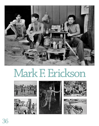

## Mark F. Erickson